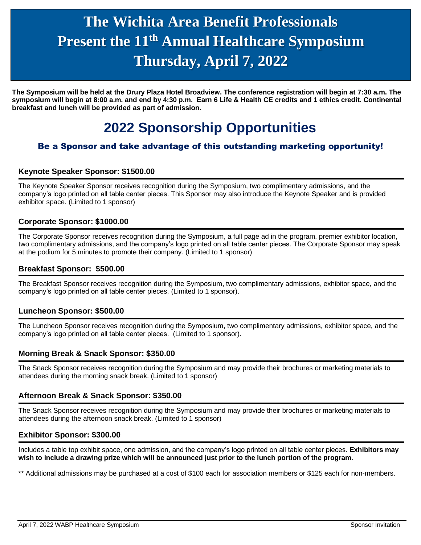# **Present the 11<sup>th</sup> Annual Healthcare Symposium The Wichita Area Benefit Professionals Thursday, April 7, 2022**

 **symposium will begin at 8:00 a.m. and end by 4:30 p.m. Earn 6 Life & Health CE credits and 1 ethics credit. Continental The Symposium will be held at the Drury Plaza Hotel Broadview. The conference registration will begin at 7:30 a.m. The breakfast and lunch will be provided as part of admission.**

## **2022 Sponsorship Opportunities**

### Be a Sponsor and take advantage of this outstanding marketing opportunity!

## Keynote Speaker Sponsor: \$1500.00<br>————————————————————

The Keynote Speaker Sponsor receives recognition during the Symposium, two complimentary admissions, and the company's logo printed on all table center pieces. This Sponsor may also introduce the Keynote Speaker and is provided exhibitor space. (Limited to 1 sponsor)

#### **Corporate Sponsor: \$1000.00**

The Corporate Sponsor receives recognition during the Symposium, a full page ad in the program, premier exhibitor location, two complimentary admissions, and the company's logo printed on all table center pieces. The Corporate Sponsor may speak at the podium for 5 minutes to promote their company. (Limited to 1 sponsor)

#### **Breakfast Sponsor: \$500.00**

The Breakfast Sponsor receives recognition during the Symposium, two complimentary admissions, exhibitor space, and the company's logo printed on all table center pieces. (Limited to 1 sponsor).

#### **Luncheon Sponsor: \$500.00**

The Luncheon Sponsor receives recognition during the Symposium, two complimentary admissions, exhibitor space, and the company's logo printed on all table center pieces. (Limited to 1 sponsor).

#### **Morning Break & Snack Sponsor: \$350.00**

The Snack Sponsor receives recognition during the Symposium and may provide their brochures or marketing materials to attendees during the morning snack break. (Limited to 1 sponsor)

#### **Afternoon Break & Snack Sponsor: \$350.00**

The Snack Sponsor receives recognition during the Symposium and may provide their brochures or marketing materials to attendees during the afternoon snack break. (Limited to 1 sponsor)

#### **Exhibitor Sponsor: \$300.00**

Includes a table top exhibit space, one admission, and the company's logo printed on all table center pieces. **Exhibitors may wish to include a drawing prize which will be announced just prior to the lunch portion of the program.**

\*\* Additional admissions may be purchased at a cost of \$100 each for association members or \$125 each for non-members.